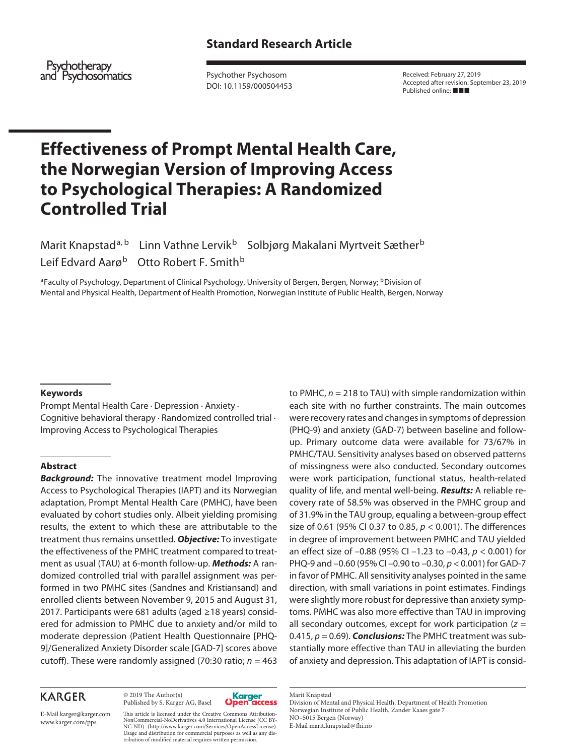Psychotherapy and Psychosomatics

Psychother Psychosom DOI: 10.1159/000504453 Received: February 27, 2019 Accepted after revision: September 23, 2019 Published online: ■■■

# **Effectiveness of Prompt Mental Health Care, the Norwegian Version of Improving Access to Psychological Therapies: A Randomized Controlled Trial**

Marit Knapstad<sup>a, b</sup> Linn Vathne Lervik<sup>b</sup> Solbjørg Makalani Myrtveit Sæther<sup>b</sup> Leif Edvard Aarø<sup>b</sup> Otto Robert E. Smith<sup>b</sup>

aFaculty of Psychology, Department of Clinical Psychology, University of Bergen, Bergen, Norway; <sup>b</sup>Division of Mental and Physical Health, Department of Health Promotion, Norwegian Institute of Public Health, Bergen, Norway

## **Keywords**

Prompt Mental Health Care · Depression · Anxiety · Cognitive behavioral therapy · Randomized controlled trial · Improving Access to Psychological Therapies

# **Abstract**

*Background:* The innovative treatment model Improving Access to Psychological Therapies (IAPT) and its Norwegian adaptation, Prompt Mental Health Care (PMHC), have been evaluated by cohort studies only. Albeit yielding promising results, the extent to which these are attributable to the treatment thus remains unsettled. *Objective:* To investigate the effectiveness of the PMHC treatment compared to treatment as usual (TAU) at 6-month follow-up. *Methods:* A randomized controlled trial with parallel assignment was performed in two PMHC sites (Sandnes and Kristiansand) and enrolled clients between November 9, 2015 and August 31, 2017. Participants were 681 adults (aged ≥18 years) considered for admission to PMHC due to anxiety and/or mild to moderate depression (Patient Health Questionnaire [PHQ-9]/Generalized Anxiety Disorder scale [GAD-7] scores above cutoff). These were randomly assigned (70:30 ratio; *n* = 463

# **KARGER**

© 2019 The Author(s) Published by S. Karger AG, Basel



to PMHC, *n* = 218 to TAU) with simple randomization within each site with no further constraints. The main outcomes were recovery rates and changes in symptoms of depression (PHQ-9) and anxiety (GAD-7) between baseline and followup. Primary outcome data were available for 73/67% in PMHC/TAU. Sensitivity analyses based on observed patterns of missingness were also conducted. Secondary outcomes were work participation, functional status, health-related quality of life, and mental well-being. *Results:* A reliable recovery rate of 58.5% was observed in the PMHC group and of 31.9% in the TAU group, equaling a between-group effect size of 0.61 (95% CI 0.37 to 0.85, *p* < 0.001). The differences in degree of improvement between PMHC and TAU yielded an effect size of –0.88 (95% CI –1.23 to –0.43, *p* < 0.001) for PHQ-9 and –0.60 (95% CI –0.90 to –0.30, *p* < 0.001) for GAD-7 in favor of PMHC. All sensitivity analyses pointed in the same direction, with small variations in point estimates. Findings were slightly more robust for depressive than anxiety symptoms. PMHC was also more effective than TAU in improving all secondary outcomes, except for work participation (*z* = 0.415, *p* = 0.69). *Conclusions:* The PMHC treatment was substantially more effective than TAU in alleviating the burden of anxiety and depression. This adaptation of IAPT is consid-

Marit Knapstad

Division of Mental and Physical Health, Department of Health Promotion Norwegian Institute of Public Health, Zander Kaaes gate 7 NO–5015 Bergen (Norway) E-Mail marit.knapstad@fhi.no

E-Mail karger@karger.com www.karger.com/pps

This article is licensed under the Creative Commons Attribution-NonCommercial-NoDerivatives 4.0 International License (CC BY-NC-ND) (http://www.karger.com/Services/OpenAccessLicense). Usage and distribution for commercial purposes as well as any distribution of modified material requires written permission.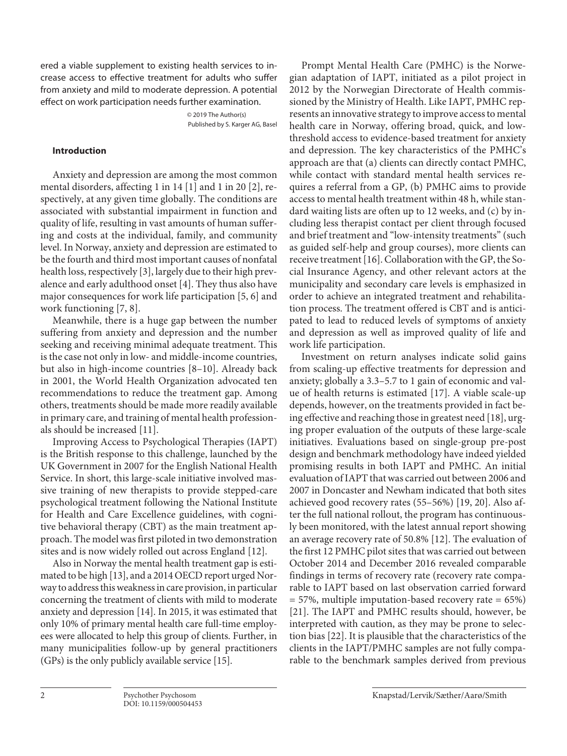ered a viable supplement to existing health services to increase access to effective treatment for adults who suffer from anxiety and mild to moderate depression. A potential effect on work participation needs further examination.

> © 2019 The Author(s) Published by S. Karger AG, Basel

# **Introduction**

<span id="page-1-0"></span>Anxiety and depression are among the most common mental disorders, affecting 1 in 14 [\[1](#page-14-0)] and 1 in 20 [[2\]](#page-14-1), respectively, at any given time globally. The conditions are associated with substantial impairment in function and quality of life, resulting in vast amounts of human suffering and costs at the individual, family, and community level. In Norway, anxiety and depression are estimated to be the fourth and third most important causes of nonfatal health loss, respectively [[3](#page-14-2)], largely due to their high prevalence and early adulthood onset [[4](#page-14-3)]. They thus also have major consequences for work life participation [\[5](#page-14-4), [6\]](#page-14-5) and work functioning [[7](#page-14-6), [8](#page-14-7)].

<span id="page-1-6"></span><span id="page-1-5"></span><span id="page-1-4"></span><span id="page-1-3"></span><span id="page-1-2"></span>Meanwhile, there is a huge gap between the number suffering from anxiety and depression and the number seeking and receiving minimal adequate treatment. This is the case not only in low- and middle-income countries, but also in high-income countries [[8–](#page-14-7)[10](#page-14-0)]. Already back in 2001, the World Health Organization advocated ten recommendations to reduce the treatment gap. Among others, treatments should be made more readily available in primary care, and training of mental health professionals should be increased [[11](#page-14-0)].

<span id="page-1-7"></span>Improving Access to Psychological Therapies (IAPT) is the British response to this challenge, launched by the UK Government in 2007 for the English National Health Service. In short, this large-scale initiative involved massive training of new therapists to provide stepped-care psychological treatment following the National Institute for Health and Care Excellence guidelines, with cognitive behavioral therapy (CBT) as the main treatment approach. The model was first piloted in two demonstration sites and is now widely rolled out across England [\[1](#page-14-0)[2\]](#page-14-1).

<span id="page-1-17"></span><span id="page-1-11"></span><span id="page-1-10"></span><span id="page-1-9"></span><span id="page-1-8"></span>Also in Norway the mental health treatment gap is estimated to be high [\[1](#page-14-0)[3\]](#page-14-2), and a 2014 OECD report urged Norway to address this weakness in care provision, in particular concerning the treatment of clients with mild to moderate anxiety and depression [\[1](#page-14-0)[4\]](#page-14-3). In 2015, it was estimated that only 10% of primary mental health care full-time employees were allocated to help this group of clients. Further, in many municipalities follow-up by general practitioners (GPs) is the only publicly available service [[1](#page-14-0)[5](#page-14-4)].

<span id="page-1-1"></span>Prompt Mental Health Care (PMHC) is the Norwegian adaptation of IAPT, initiated as a pilot project in 2012 by the Norwegian Directorate of Health commissioned by the Ministry of Health. Like IAPT, PMHC represents an innovative strategy to improve access to mental health care in Norway, offering broad, quick, and lowthreshold access to evidence-based treatment for anxiety and depression. The key characteristics of the PMHC's approach are that (a) clients can directly contact PMHC, while contact with standard mental health services requires a referral from a GP, (b) PMHC aims to provide access to mental health treatment within 48 h, while standard waiting lists are often up to 12 weeks, and (c) by including less therapist contact per client through focused and brief treatment and "low-intensity treatments" (such as guided self-help and group courses), more clients can receive treatment [\[1](#page-14-0)[6\]](#page-14-5). Collaboration with the GP, the Social Insurance Agency, and other relevant actors at the municipality and secondary care levels is emphasized in order to achieve an integrated treatment and rehabilitation process. The treatment offered is CBT and is anticipated to lead to reduced levels of symptoms of anxiety and depression as well as improved quality of life and work life participation.

<span id="page-1-16"></span><span id="page-1-15"></span><span id="page-1-14"></span><span id="page-1-13"></span><span id="page-1-12"></span>Investment on return analyses indicate solid gains from scaling-up effective treatments for depression and anxiety; globally a 3.3–5.7 to 1 gain of economic and value of health returns is estimated [\[1](#page-14-0)[7\]](#page-14-6). A viable scale-up depends, however, on the treatments provided in fact being effective and reaching those in greatest need [\[1](#page-14-0)[8\]](#page-14-7), urging proper evaluation of the outputs of these large-scale initiatives. Evaluations based on single-group pre-post design and benchmark methodology have indeed yielded promising results in both IAPT and PMHC. An initial evaluation of IAPT that was carried out between 2006 and 2007 in Doncaster and Newham indicated that both sites achieved good recovery rates (55–56%) [\[1](#page-14-0)[9,](#page-14-8) [20](#page-14-1)]. Also after the full national rollout, the program has continuously been monitored, with the latest annual report showing an average recovery rate of 50.8% [[1](#page-14-0)[2](#page-14-1)]. The evaluation of the first 12 PMHC pilot sites that was carried out between October 2014 and December 2016 revealed comparable findings in terms of recovery rate (recovery rate comparable to IAPT based on last observation carried forward  $= 57\%$ , multiple imputation-based recovery rate  $= 65\%$ ) [[2](#page-14-1)[1](#page-14-0)]. The IAPT and PMHC results should, however, be interpreted with caution, as they may be prone to selection bias [[22](#page-14-1)]. It is plausible that the characteristics of the clients in the IAPT/PMHC samples are not fully comparable to the benchmark samples derived from previous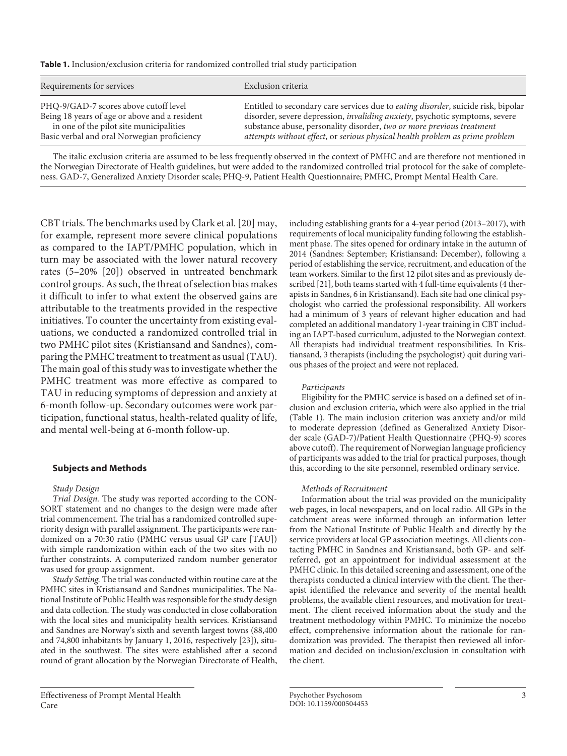**Table 1.** Inclusion/exclusion criteria for randomized controlled trial study participation

| Requirements for services                     | Exclusion criteria                                                                |
|-----------------------------------------------|-----------------------------------------------------------------------------------|
| PHQ-9/GAD-7 scores above cutoff level         | Entitled to secondary care services due to eating disorder, suicide risk, bipolar |
| Being 18 years of age or above and a resident | disorder, severe depression, invaliding anxiety, psychotic symptoms, severe       |
| in one of the pilot site municipalities       | substance abuse, personality disorder, two or more previous treatment             |
| Basic verbal and oral Norwegian proficiency   | attempts without effect, or serious physical health problem as prime problem      |

The italic exclusion criteria are assumed to be less frequently observed in the context of PMHC and are therefore not mentioned in the Norwegian Directorate of Health guidelines, but were added to the randomized controlled trial protocol for the sake of completeness. GAD-7, Generalized Anxiety Disorder scale; PHQ-9, Patient Health Questionnaire; PMHC, Prompt Mental Health Care.

CBT trials. The benchmarks used by Clark et al. [[20](#page-14-1)] may, for example, represent more severe clinical populations as compared to the IAPT/PMHC population, which in turn may be associated with the lower natural recovery rates (5–20% [\[20](#page-14-1)]) observed in untreated benchmark control groups. As such, the threat of selection bias makes it difficult to infer to what extent the observed gains are attributable to the treatments provided in the respective initiatives. To counter the uncertainty from existing evaluations, we conducted a randomized controlled trial in two PMHC pilot sites (Kristiansand and Sandnes), comparing the PMHC treatment to treatment as usual (TAU). The main goal of this study was to investigate whether the PMHC treatment was more effective as compared to TAU in reducing symptoms of depression and anxiety at 6-month follow-up. Secondary outcomes were work participation, functional status, health-related quality of life, and mental well-being at 6-month follow-up.

## **Subjects and Methods**

#### *Study Design*

*Trial Design.* The study was reported according to the CON-SORT statement and no changes to the design were made after trial commencement. The trial has a randomized controlled superiority design with parallel assignment. The participants were randomized on a 70:30 ratio (PMHC versus usual GP care [TAU]) with simple randomization within each of the two sites with no further constraints. A computerized random number generator was used for group assignment.

<span id="page-2-0"></span>*Study Setting.* The trial was conducted within routine care at the PMHC sites in Kristiansand and Sandnes municipalities. The National Institute of Public Health was responsible for the study design and data collection. The study was conducted in close collaboration with the local sites and municipality health services. Kristiansand and Sandnes are Norway's sixth and seventh largest towns (88,400 and 74,800 inhabitants by January 1, 2016, respectively [\[2](#page-14-1)[3](#page-14-2)]), situated in the southwest. The sites were established after a second round of grant allocation by the Norwegian Directorate of Health,

including establishing grants for a 4-year period (2013–2017), with requirements of local municipality funding following the establishment phase. The sites opened for ordinary intake in the autumn of 2014 (Sandnes: September; Kristiansand: December), following a period of establishing the service, recruitment, and education of the team workers. Similar to the first 12 pilot sites and as previously described [[2](#page-14-1)[1\]](#page-14-0), both teams started with 4 full-time equivalents (4 therapists in Sandnes, 6 in Kristiansand). Each site had one clinical psychologist who carried the professional responsibility. All workers had a minimum of 3 years of relevant higher education and had completed an additional mandatory 1-year training in CBT including an IAPT-based curriculum, adjusted to the Norwegian context. All therapists had individual treatment responsibilities. In Kristiansand, 3 therapists (including the psychologist) quit during various phases of the project and were not replaced.

## *Participants*

Eligibility for the PMHC service is based on a defined set of inclusion and exclusion criteria, which were also applied in the trial (Table 1). The main inclusion criterion was anxiety and/or mild to moderate depression (defined as Generalized Anxiety Disorder scale (GAD-7)/Patient Health Questionnaire (PHQ-9) scores above cutoff). The requirement of Norwegian language proficiency of participants was added to the trial for practical purposes, though this, according to the site personnel, resembled ordinary service.

#### *Methods of Recruitment*

Information about the trial was provided on the municipality web pages, in local newspapers, and on local radio. All GPs in the catchment areas were informed through an information letter from the National Institute of Public Health and directly by the service providers at local GP association meetings. All clients contacting PMHC in Sandnes and Kristiansand, both GP- and selfreferred, got an appointment for individual assessment at the PMHC clinic. In this detailed screening and assessment, one of the therapists conducted a clinical interview with the client. The therapist identified the relevance and severity of the mental health problems, the available client resources, and motivation for treatment. The client received information about the study and the treatment methodology within PMHC. To minimize the nocebo effect, comprehensive information about the rationale for randomization was provided. The therapist then reviewed all information and decided on inclusion/exclusion in consultation with the client.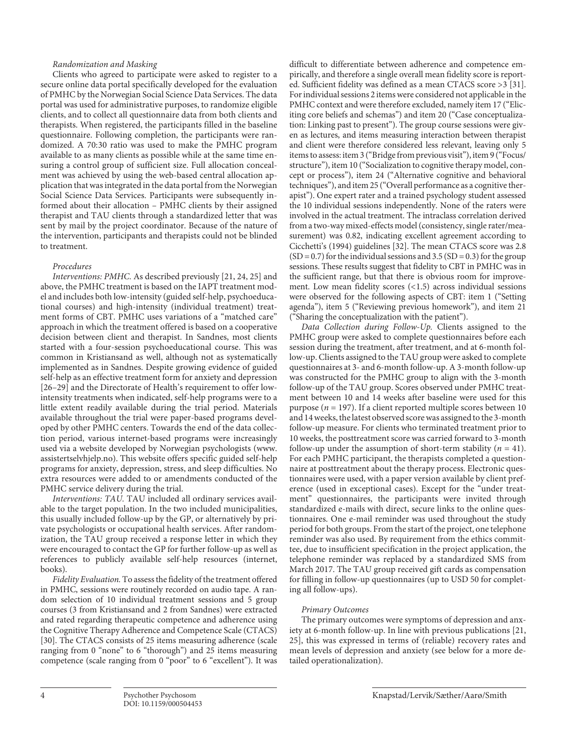## *Randomization and Masking*

Clients who agreed to participate were asked to register to a secure online data portal specifically developed for the evaluation of PMHC by the Norwegian Social Science Data Services. The data portal was used for administrative purposes, to randomize eligible clients, and to collect all questionnaire data from both clients and therapists. When registered, the participants filled in the baseline questionnaire. Following completion, the participants were randomized. A 70:30 ratio was used to make the PMHC program available to as many clients as possible while at the same time ensuring a control group of sufficient size. Full allocation concealment was achieved by using the web-based central allocation application that was integrated in the data portal from the Norwegian Social Science Data Services. Participants were subsequently informed about their allocation – PMHC clients by their assigned therapist and TAU clients through a standardized letter that was sent by mail by the project coordinator. Because of the nature of the intervention, participants and therapists could not be blinded to treatment.

## *Procedures*

<span id="page-3-1"></span>*Interventions: PMHC.* As described previously [[2](#page-14-1)[1,](#page-14-0) [2](#page-14-1)[4](#page-14-3), [2](#page-14-1)[5\]](#page-14-4) and above, the PMHC treatment is based on the IAPT treatment model and includes both low-intensity (guided self-help, psychoeducational courses) and high-intensity (individual treatment) treatment forms of CBT. PMHC uses variations of a "matched care" approach in which the treatment offered is based on a cooperative decision between client and therapist. In Sandnes, most clients started with a four-session psychoeducational course. This was common in Kristiansand as well, although not as systematically implemented as in Sandnes. Despite growing evidence of guided self-help as an effective treatment form for anxiety and depression [[2](#page-14-1)[6–](#page-14-5)[2](#page-14-1)[9\]](#page-14-8) and the Directorate of Health's requirement to offer lowintensity treatments when indicated, self-help programs were to a little extent readily available during the trial period. Materials available throughout the trial were paper-based programs developed by other PMHC centers. Towards the end of the data collection period, various internet-based programs were increasingly used via a website developed by Norwegian psychologists (www. assistertselvhjelp.no). This website offers specific guided self-help programs for anxiety, depression, stress, and sleep difficulties. No extra resources were added to or amendments conducted of the PMHC service delivery during the trial.

*Interventions: TAU.* TAU included all ordinary services available to the target population. In the two included municipalities, this usually included follow-up by the GP, or alternatively by private psychologists or occupational health services. After randomization, the TAU group received a response letter in which they were encouraged to contact the GP for further follow-up as well as references to publicly available self-help resources (internet, books).

<span id="page-3-2"></span>*Fidelity Evaluation.* To assess the fidelity of the treatment offered in PMHC, sessions were routinely recorded on audio tape. A random selection of 10 individual treatment sessions and 5 group courses (3 from Kristiansand and 2 from Sandnes) were extracted and rated regarding therapeutic competence and adherence using the Cognitive Therapy Adherence and Competence Scale (CTACS) [[3](#page-14-2)0]. The CTACS consists of 25 items measuring adherence (scale ranging from 0 "none" to 6 "thorough") and 25 items measuring competence (scale ranging from 0 "poor" to 6 "excellent"). It was

<span id="page-3-3"></span>difficult to differentiate between adherence and competence empirically, and therefore a single overall mean fidelity score is reported. Sufficient fidelity was defined as a mean CTACS score >3 [\[3](#page-14-2)[1](#page-14-0)]. For individual sessions 2 items were considered not applicable in the PMHC context and were therefore excluded, namely item 17 ("Eliciting core beliefs and schemas") and item 20 ("Case conceptualization: Linking past to present"). The group course sessions were given as lectures, and items measuring interaction between therapist and client were therefore considered less relevant, leaving only 5 items to assess: item 3 ("Bridge from previous visit"), item 9 ("Focus/ structure"), item 10 ("Socialization to cognitive therapy model, concept or process"), item 24 ("Alternative cognitive and behavioral techniques"), and item 25 ("Overall performance as a cognitive therapist"). One expert rater and a trained psychology student assessed the 10 individual sessions independently. None of the raters were involved in the actual treatment. The intraclass correlation derived from a two-way mixed-effects model (consistency, single rater/measurement) was 0.82, indicating excellent agreement according to Cicchetti's (1994) guidelines [\[3](#page-14-2)[2](#page-14-1)]. The mean CTACS score was 2.8  $(SD = 0.7)$  for the individual sessions and 3.5  $(SD = 0.3)$  for the group sessions. These results suggest that fidelity to CBT in PMHC was in the sufficient range, but that there is obvious room for improvement. Low mean fidelity scores (<1.5) across individual sessions were observed for the following aspects of CBT: item 1 ("Setting agenda"), item 5 ("Reviewing previous homework"), and item 21 ("Sharing the conceptualization with the patient").

<span id="page-3-4"></span><span id="page-3-0"></span>*Data Collection during Follow-Up.* Clients assigned to the PMHC group were asked to complete questionnaires before each session during the treatment, after treatment, and at 6-month follow-up. Clients assigned to the TAU group were asked to complete questionnaires at 3- and 6-month follow-up. A 3-month follow-up was constructed for the PMHC group to align with the 3-month follow-up of the TAU group. Scores observed under PMHC treatment between 10 and 14 weeks after baseline were used for this purpose (*n* = 197). If a client reported multiple scores between 10 and 14 weeks, the latest observed score was assigned to the 3-month follow-up measure. For clients who terminated treatment prior to 10 weeks, the posttreatment score was carried forward to 3-month follow-up under the assumption of short-term stability  $(n = 41)$ . For each PMHC participant, the therapists completed a questionnaire at posttreatment about the therapy process. Electronic questionnaires were used, with a paper version available by client preference (used in exceptional cases). Except for the "under treatment" questionnaires, the participants were invited through standardized e-mails with direct, secure links to the online questionnaires. One e-mail reminder was used throughout the study period for both groups. From the start of the project, one telephone reminder was also used. By requirement from the ethics committee, due to insufficient specification in the project application, the telephone reminder was replaced by a standardized SMS from March 2017. The TAU group received gift cards as compensation for filling in follow-up questionnaires (up to USD 50 for completing all follow-ups).

## *Primary Outcomes*

The primary outcomes were symptoms of depression and anxiety at 6-month follow-up. In line with previous publications [\[2](#page-14-1)[1,](#page-14-0) [2](#page-14-1)[5](#page-14-4)], this was expressed in terms of (reliable) recovery rates and mean levels of depression and anxiety (see below for a more detailed operationalization).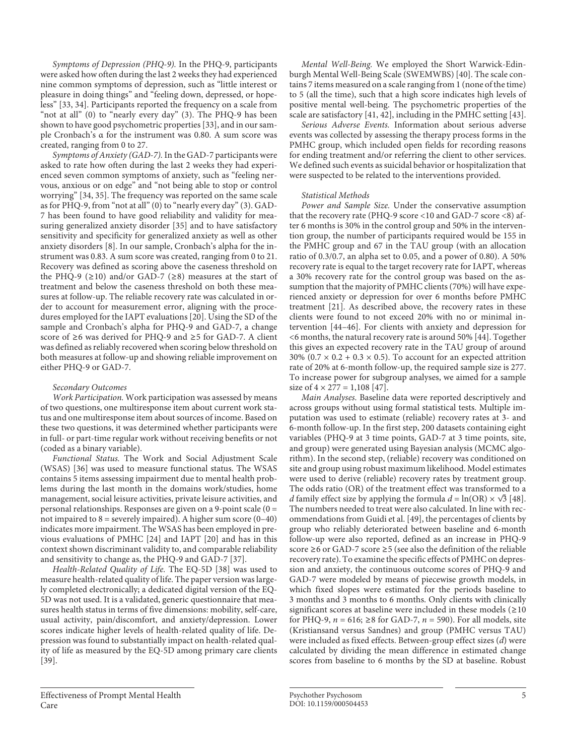<span id="page-4-0"></span>*Symptoms of Depression (PHQ-9).* In the PHQ-9, participants were asked how often during the last 2 weeks they had experienced nine common symptoms of depression, such as "little interest or pleasure in doing things" and "feeling down, depressed, or hopeless" [\[33](#page-14-2), [3](#page-14-2)[4\]](#page-14-3). Participants reported the frequency on a scale from "not at all" (0) to "nearly every day" (3). The PHQ-9 has been shown to have good psychometric properties [[33\]](#page-14-2), and in our sample Cronbach's α for the instrument was 0.80. A sum score was created, ranging from 0 to 27.

<span id="page-4-1"></span>*Symptoms of Anxiety (GAD-7).* In the GAD-7 participants were asked to rate how often during the last 2 weeks they had experienced seven common symptoms of anxiety, such as "feeling nervous, anxious or on edge" and "not being able to stop or control worrying" [[3](#page-14-2)[4,](#page-14-3) [3](#page-14-2)[5](#page-14-4)]. The frequency was reported on the same scale as for PHQ-9, from "not at all" (0) to "nearly every day" (3). GAD-7 has been found to have good reliability and validity for measuring generalized anxiety disorder [\[3](#page-14-2)[5\]](#page-14-4) and to have satisfactory sensitivity and specificity for generalized anxiety as well as other anxiety disorders [[8](#page-14-7)]. In our sample, Cronbach's alpha for the instrument was 0.83. A sum score was created, ranging from 0 to 21. Recovery was defined as scoring above the caseness threshold on the PHQ-9 ( $\geq$ 10) and/or GAD-7 ( $\geq$ 8) measures at the start of treatment and below the caseness threshold on both these measures at follow-up. The reliable recovery rate was calculated in order to account for measurement error, aligning with the procedures employed for the IAPT evaluations [\[20](#page-14-1)]. Using the SD of the sample and Cronbach's alpha for PHQ-9 and GAD-7, a change score of ≥6 was derived for PHQ-9 and ≥5 for GAD-7. A client was defined as reliably recovered when scoring below threshold on both measures at follow-up and showing reliable improvement on either PHQ-9 or GAD-7.

#### *Secondary Outcomes*

*Work Participation.* Work participation was assessed by means of two questions, one multiresponse item about current work status and one multiresponse item about sources of income. Based on these two questions, it was determined whether participants were in full- or part-time regular work without receiving benefits or not (coded as a binary variable).

<span id="page-4-2"></span>*Functional Status.* The Work and Social Adjustment Scale (WSAS) [\[3](#page-14-2)[6](#page-14-5)] was used to measure functional status. The WSAS contains 5 items assessing impairment due to mental health problems during the last month in the domains work/studies, home management, social leisure activities, private leisure activities, and personal relationships. Responses are given on a 9-point scale (0 = not impaired to  $8$  = severely impaired). A higher sum score  $(0-40)$ indicates more impairment. The WSAS has been employed in previous evaluations of PMHC [[2](#page-14-1)[4](#page-14-3)] and IAPT [\[2](#page-14-1)0] and has in this context shown discriminant validity to, and comparable reliability and sensitivity to change as, the PHQ-9 and GAD-7 [[3](#page-14-2)[7\]](#page-14-6).

<span id="page-4-5"></span><span id="page-4-3"></span>*Health-Related Quality of Life.* The EQ-5D [\[3](#page-14-2)[8\]](#page-14-7) was used to measure health-related quality of life. The paper version was largely completed electronically; a dedicated digital version of the EQ-5D was not used. It is a validated, generic questionnaire that measures health status in terms of five dimensions: mobility, self-care, usual activity, pain/discomfort, and anxiety/depression. Lower scores indicate higher levels of health-related quality of life. Depression was found to substantially impact on health-related quality of life as measured by the EQ-5D among primary care clients [[3](#page-14-2)[9\]](#page-14-8).

<span id="page-4-6"></span>*Mental Well-Being.* We employed the Short Warwick-Edinburgh Mental Well-Being Scale (SWEMWBS) [\[40](#page-14-3)]. The scale contains 7 items measured on a scale ranging from 1 (none of the time) to 5 (all the time), such that a high score indicates high levels of positive mental well-being. The psychometric properties of the scale are satisfactory [\[4](#page-14-3)[1](#page-14-0), [4](#page-14-3)[2\]](#page-14-1), including in the PMHC setting [\[4](#page-14-3)[3](#page-14-2)].

<span id="page-4-8"></span><span id="page-4-7"></span>*Serious Adverse Events.* Information about serious adverse events was collected by assessing the therapy process forms in the PMHC group, which included open fields for recording reasons for ending treatment and/or referring the client to other services. We defined such events as suicidal behavior or hospitalization that were suspected to be related to the interventions provided.

## *Statistical Methods*

*Power and Sample Size.* Under the conservative assumption that the recovery rate (PHQ-9 score <10 and GAD-7 score <8) after 6 months is 30% in the control group and 50% in the intervention group, the number of participants required would be 155 in the PMHC group and 67 in the TAU group (with an allocation ratio of 0.3/0.7, an alpha set to 0.05, and a power of 0.80). A 50% recovery rate is equal to the target recovery rate for IAPT, whereas a 30% recovery rate for the control group was based on the assumption that the majority of PMHC clients (70%) will have experienced anxiety or depression for over 6 months before PMHC treatment [\[2](#page-14-1)[1](#page-14-0)]. As described above, the recovery rates in these clients were found to not exceed 20% with no or minimal intervention [\[44–4](#page-14-3)[6\]](#page-14-5). For clients with anxiety and depression for <6 months, the natural recovery rate is around 50% [[44\]](#page-14-3). Together this gives an expected recovery rate in the TAU group of around 30% (0.7  $\times$  0.2 + 0.3  $\times$  0.5). To account for an expected attrition rate of 20% at 6-month follow-up, the required sample size is 277. To increase power for subgroup analyses, we aimed for a sample size of  $4 \times 277 = 1,108$  $4 \times 277 = 1,108$  [4[7\]](#page-14-6).

<span id="page-4-12"></span><span id="page-4-11"></span><span id="page-4-10"></span><span id="page-4-9"></span><span id="page-4-4"></span>*Main Analyses.* Baseline data were reported descriptively and across groups without using formal statistical tests. Multiple imputation was used to estimate (reliable) recovery rates at 3- and 6-month follow-up. In the first step, 200 datasets containing eight variables (PHQ-9 at 3 time points, GAD-7 at 3 time points, site, and group) were generated using Bayesian analysis (MCMC algorithm). In the second step, (reliable) recovery was conditioned on site and group using robust maximum likelihood. Model estimates were used to derive (reliable) recovery rates by treatment group. The odds ratio (OR) of the treatment effect was transformed to a *d* family effect size by applying the formula  $d = \ln(\text{OR}) \times \sqrt{3}$  [\[4](#page-14-3)[8](#page-14-7)]. The numbers needed to treat were also calculated. In line with recommendations from Guidi et al. [[4](#page-14-3)[9\]](#page-14-8), the percentages of clients by group who reliably deteriorated between baseline and 6-month follow-up were also reported, defined as an increase in PHQ-9 score ≥6 or GAD-7 score ≥5 (see also the definition of the reliable recovery rate). To examine the specific effects of PMHC on depression and anxiety, the continuous outcome scores of PHQ-9 and GAD-7 were modeled by means of piecewise growth models, in which fixed slopes were estimated for the periods baseline to 3 months and 3 months to 6 months. Only clients with clinically significant scores at baseline were included in these models  $(\geq 10$ for PHQ-9,  $n = 616$ ;  $\geq 8$  for GAD-7,  $n = 590$ ). For all models, site (Kristiansand versus Sandnes) and group (PMHC versus TAU) were included as fixed effects. Between-group effect sizes (*d*) were calculated by dividing the mean difference in estimated change scores from baseline to 6 months by the SD at baseline. Robust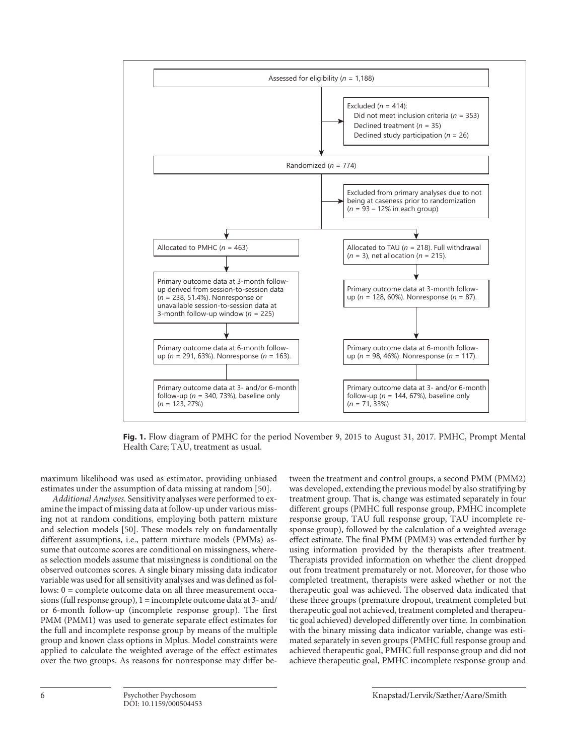

**Fig. 1.** Flow diagram of PMHC for the period November 9, 2015 to August 31, 2017. PMHC, Prompt Mental Health Care; TAU, treatment as usual.

<span id="page-5-0"></span>maximum likelihood was used as estimator, providing unbiased estimates under the assumption of data missing at random [[5](#page-14-4)0].

*Additional Analyses.* Sensitivity analyses were performed to examine the impact of missing data at follow-up under various missing not at random conditions, employing both pattern mixture and selection models [[5](#page-14-4)0]. These models rely on fundamentally different assumptions, i.e., pattern mixture models (PMMs) assume that outcome scores are conditional on missingness, whereas selection models assume that missingness is conditional on the observed outcomes scores. A single binary missing data indicator variable was used for all sensitivity analyses and was defined as follows: 0 = complete outcome data on all three measurement occasions (full response group), 1 = incomplete outcome data at 3- and/ or 6-month follow-up (incomplete response group). The first PMM (PMM1) was used to generate separate effect estimates for the full and incomplete response group by means of the multiple group and known class options in Mplus. Model constraints were applied to calculate the weighted average of the effect estimates over the two groups. As reasons for nonresponse may differ between the treatment and control groups, a second PMM (PMM2) was developed, extending the previous model by also stratifying by treatment group. That is, change was estimated separately in four different groups (PMHC full response group, PMHC incomplete response group, TAU full response group, TAU incomplete response group), followed by the calculation of a weighted average effect estimate. The final PMM (PMM3) was extended further by using information provided by the therapists after treatment. Therapists provided information on whether the client dropped out from treatment prematurely or not. Moreover, for those who completed treatment, therapists were asked whether or not the therapeutic goal was achieved. The observed data indicated that these three groups (premature dropout, treatment completed but therapeutic goal not achieved, treatment completed and therapeutic goal achieved) developed differently over time. In combination with the binary missing data indicator variable, change was estimated separately in seven groups (PMHC full response group and achieved therapeutic goal, PMHC full response group and did not achieve therapeutic goal, PMHC incomplete response group and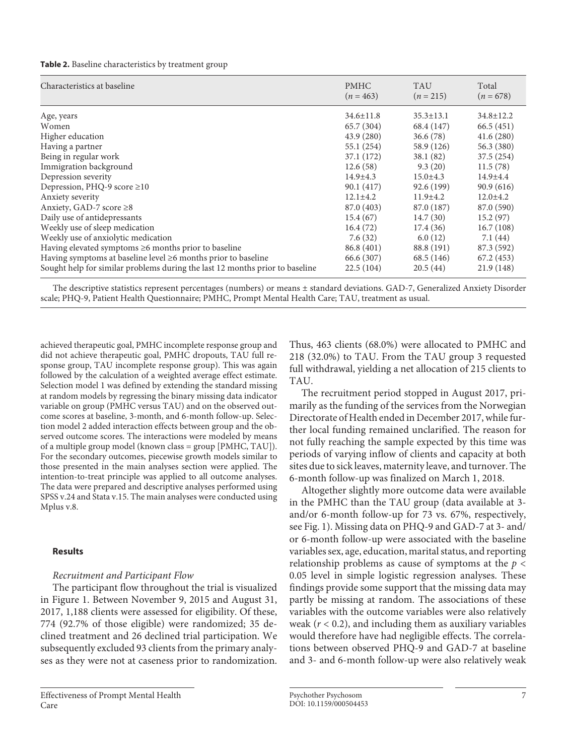| Table 2. Baseline characteristics by treatment group |  |
|------------------------------------------------------|--|
|------------------------------------------------------|--|

| Characteristics at baseline                                                  | <b>PMHC</b><br>$(n = 463)$ | <b>TAU</b><br>$(n = 215)$ | Total<br>$(n = 678)$ |
|------------------------------------------------------------------------------|----------------------------|---------------------------|----------------------|
| Age, years                                                                   | $34.6 \pm 11.8$            | $35.3 \pm 13.1$           | $34.8 \pm 12.2$      |
| Women                                                                        | 65.7 (304)                 | 68.4 (147)                | 66.5(451)            |
| Higher education                                                             | 43.9 (280)                 | 36.6(78)                  | 41.6(280)            |
| Having a partner                                                             | 55.1 (254)                 | 58.9 (126)                | 56.3 (380)           |
| Being in regular work                                                        | 37.1 (172)                 | 38.1 (82)                 | 37.5(254)            |
| Immigration background                                                       | 12.6(58)                   | 9.3(20)                   | 11.5(78)             |
| Depression severity                                                          | $14.9 \pm 4.3$             | $15.0 \pm 4.3$            | $14.9 + 4.4$         |
| Depression, PHQ-9 score $\geq$ 10                                            | 90.1(417)                  | 92.6 (199)                | 90.9(616)            |
| Anxiety severity                                                             | $12.1 \pm 4.2$             | $11.9 + 4.2$              | $12.0 \pm 4.2$       |
| Anxiety, GAD-7 score $\geq$ 8                                                | 87.0 (403)                 | 87.0 (187)                | 87.0 (590)           |
| Daily use of antidepressants                                                 | 15.4 (67)                  | 14.7(30)                  | 15.2(97)             |
| Weekly use of sleep medication                                               | 16.4 (72)                  | 17.4 (36)                 | 16.7(108)            |
| Weekly use of anxiolytic medication                                          | 7.6(32)                    | 6.0(12)                   | 7.1(44)              |
| Having elevated symptoms ≥6 months prior to baseline                         | 86.8 (401)                 | 88.8 (191)                | 87.3 (592)           |
| Having symptoms at baseline level $\geq 6$ months prior to baseline          | 66.6 (307)                 | 68.5 (146)                | 67.2(453)            |
| Sought help for similar problems during the last 12 months prior to baseline | 22.5(104)                  | 20.5(44)                  | 21.9(148)            |

The descriptive statistics represent percentages (numbers) or means ± standard deviations. GAD-7, Generalized Anxiety Disorder scale; PHQ-9, Patient Health Questionnaire; PMHC, Prompt Mental Health Care; TAU, treatment as usual.

achieved therapeutic goal, PMHC incomplete response group and did not achieve therapeutic goal, PMHC dropouts, TAU full response group, TAU incomplete response group). This was again followed by the calculation of a weighted average effect estimate. Selection model 1 was defined by extending the standard missing at random models by regressing the binary missing data indicator variable on group (PMHC versus TAU) and on the observed outcome scores at baseline, 3-month, and 6-month follow-up. Selection model 2 added interaction effects between group and the observed outcome scores. The interactions were modeled by means of a multiple group model (known class = group [PMHC, TAU]). For the secondary outcomes, piecewise growth models similar to those presented in the main analyses section were applied. The intention-to-treat principle was applied to all outcome analyses. The data were prepared and descriptive analyses performed using SPSS v.24 and Stata v.15. The main analyses were conducted using Mplus v.8.

# **Results**

# *Recruitment and Participant Flow*

The participant flow throughout the trial is visualized in Figure 1. Between November 9, 2015 and August 31, 2017, 1,188 clients were assessed for eligibility. Of these, 774 (92.7% of those eligible) were randomized; 35 declined treatment and 26 declined trial participation. We subsequently excluded 93 clients from the primary analyses as they were not at caseness prior to randomization.

Thus, 463 clients (68.0%) were allocated to PMHC and 218 (32.0%) to TAU. From the TAU group 3 requested full withdrawal, yielding a net allocation of 215 clients to TAU.

The recruitment period stopped in August 2017, primarily as the funding of the services from the Norwegian Directorate of Health ended in December 2017, while further local funding remained unclarified. The reason for not fully reaching the sample expected by this time was periods of varying inflow of clients and capacity at both sites due to sick leaves, maternity leave, and turnover. The 6-month follow-up was finalized on March 1, 2018.

Altogether slightly more outcome data were available in the PMHC than the TAU group (data available at 3 and/or 6-month follow-up for 73 vs. 67%, respectively, see Fig. 1). Missing data on PHQ-9 and GAD-7 at 3- and/ or 6-month follow-up were associated with the baseline variables sex, age, education, marital status, and reporting relationship problems as cause of symptoms at the *p* < 0.05 level in simple logistic regression analyses. These findings provide some support that the missing data may partly be missing at random. The associations of these variables with the outcome variables were also relatively weak  $(r < 0.2)$ , and including them as auxiliary variables would therefore have had negligible effects. The correlations between observed PHQ-9 and GAD-7 at baseline and 3- and 6-month follow-up were also relatively weak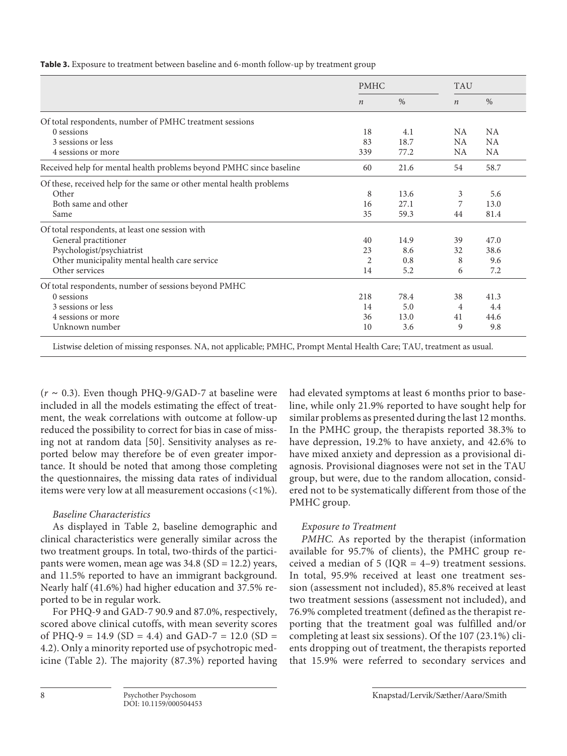| Table 3. Exposure to treatment between baseline and 6-month follow-up by treatment group |  |  |
|------------------------------------------------------------------------------------------|--|--|
|------------------------------------------------------------------------------------------|--|--|

|                                                                      |                  | <b>PMHC</b> |                  | <b>TAU</b> |  |
|----------------------------------------------------------------------|------------------|-------------|------------------|------------|--|
|                                                                      | $\boldsymbol{n}$ | $\%$        | $\boldsymbol{n}$ | $\%$       |  |
| Of total respondents, number of PMHC treatment sessions              |                  |             |                  |            |  |
| 0 sessions                                                           | 18               | 4.1         | <b>NA</b>        | <b>NA</b>  |  |
| 3 sessions or less                                                   | 83               | 18.7        | <b>NA</b>        | <b>NA</b>  |  |
| 4 sessions or more                                                   | 339              | 77.2        | NA               | <b>NA</b>  |  |
| Received help for mental health problems beyond PMHC since baseline  | 60               | 21.6        | 54               | 58.7       |  |
| Of these, received help for the same or other mental health problems |                  |             |                  |            |  |
| Other                                                                | 8                | 13.6        | 3                | 5.6        |  |
| Both same and other                                                  | 16               | 27.1        | 7                | 13.0       |  |
| Same                                                                 | 35               | 59.3        | 44               | 81.4       |  |
| Of total respondents, at least one session with                      |                  |             |                  |            |  |
| General practitioner                                                 | 40               | 14.9        | 39               | 47.0       |  |
| Psychologist/psychiatrist                                            | 23               | 8.6         | 32               | 38.6       |  |
| Other municipality mental health care service                        | $\overline{2}$   | 0.8         | 8                | 9.6        |  |
| Other services                                                       | 14               | 5.2         | 6                | 7.2        |  |
| Of total respondents, number of sessions beyond PMHC                 |                  |             |                  |            |  |
| 0 sessions                                                           | 218              | 78.4        | 38               | 41.3       |  |
| 3 sessions or less                                                   | 14               | 5.0         | 4                | 4.4        |  |
| 4 sessions or more                                                   | 36               | 13.0        | 41               | 44.6       |  |
| Unknown number                                                       | 10               | 3.6         | 9                | 9.8        |  |

Listwise deletion of missing responses. NA, not applicable; PMHC, Prompt Mental Health Care; TAU, treatment as usual.

(*r* ∼ 0.3). Even though PHQ-9/GAD-7 at baseline were included in all the models estimating the effect of treatment, the weak correlations with outcome at follow-up reduced the possibility to correct for bias in case of missing not at random data [\[5](#page-14-4)0]. Sensitivity analyses as reported below may therefore be of even greater importance. It should be noted that among those completing the questionnaires, the missing data rates of individual items were very low at all measurement occasions (<1%).

# *Baseline Characteristics*

As displayed in Table 2, baseline demographic and clinical characteristics were generally similar across the two treatment groups. In total, two-thirds of the participants were women, mean age was  $34.8$  (SD = 12.2) years, and 11.5% reported to have an immigrant background. Nearly half (41.6%) had higher education and 37.5% reported to be in regular work.

For PHQ-9 and GAD-7 90.9 and 87.0%, respectively, scored above clinical cutoffs, with mean severity scores of PHQ-9 = 14.9 (SD = 4.4) and GAD-7 = 12.0 (SD = 4.2). Only a minority reported use of psychotropic medicine (Table 2). The majority (87.3%) reported having had elevated symptoms at least 6 months prior to baseline, while only 21.9% reported to have sought help for similar problems as presented during the last 12 months. In the PMHC group, the therapists reported 38.3% to have depression, 19.2% to have anxiety, and 42.6% to have mixed anxiety and depression as a provisional diagnosis. Provisional diagnoses were not set in the TAU group, but were, due to the random allocation, considered not to be systematically different from those of the PMHC group.

# *Exposure to Treatment*

*PMHC.* As reported by the therapist (information available for 95.7% of clients), the PMHC group received a median of 5 ( $IQR = 4-9$ ) treatment sessions. In total, 95.9% received at least one treatment session (assessment not included), 85.8% received at least two treatment sessions (assessment not included), and 76.9% completed treatment (defined as the therapist reporting that the treatment goal was fulfilled and/or completing at least six sessions). Of the 107 (23.1%) clients dropping out of treatment, the therapists reported that 15.9% were referred to secondary services and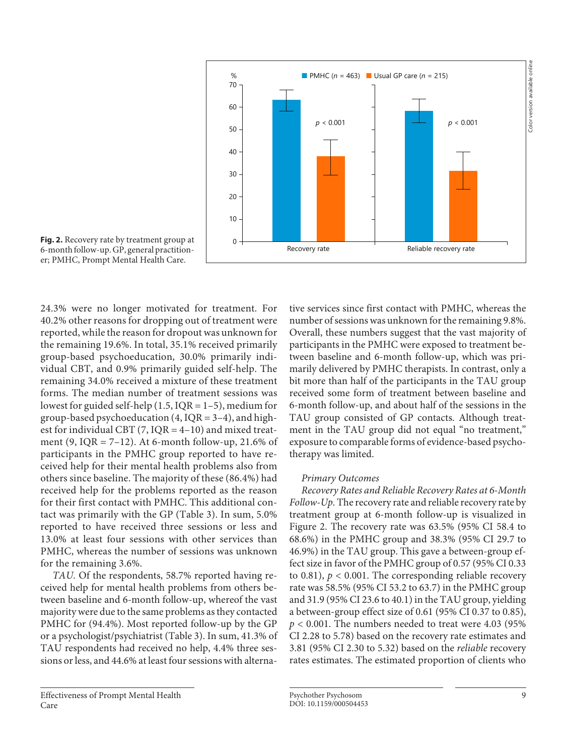

**Fig. 2.** Recovery rate by treatment group at 6-month follow-up. GP, general practitioner; PMHC, Prompt Mental Health Care.

24.3% were no longer motivated for treatment. For 40.2% other reasons for dropping out of treatment were reported, while the reason for dropout was unknown for the remaining 19.6%. In total, 35.1% received primarily group-based psychoeducation, 30.0% primarily individual CBT, and 0.9% primarily guided self-help. The remaining 34.0% received a mixture of these treatment forms. The median number of treatment sessions was lowest for guided self-help (1.5, IQR = 1–5), medium for group-based psychoeducation  $(4, IQR = 3-4)$ , and highest for individual CBT  $(7, IQR = 4-10)$  and mixed treatment (9, IQR = 7–12). At 6-month follow-up, 21.6% of participants in the PMHC group reported to have received help for their mental health problems also from others since baseline. The majority of these (86.4%) had received help for the problems reported as the reason for their first contact with PMHC. This additional contact was primarily with the GP (Table 3). In sum, 5.0% reported to have received three sessions or less and 13.0% at least four sessions with other services than PMHC, whereas the number of sessions was unknown for the remaining 3.6%.

*TAU.* Of the respondents, 58.7% reported having received help for mental health problems from others between baseline and 6-month follow-up, whereof the vast majority were due to the same problems as they contacted PMHC for (94.4%). Most reported follow-up by the GP or a psychologist/psychiatrist (Table 3). In sum, 41.3% of TAU respondents had received no help, 4.4% three sessions or less, and 44.6% at least four sessions with alternative services since first contact with PMHC, whereas the number of sessions was unknown for the remaining 9.8%. Overall, these numbers suggest that the vast majority of participants in the PMHC were exposed to treatment between baseline and 6-month follow-up, which was primarily delivered by PMHC therapists. In contrast, only a bit more than half of the participants in the TAU group received some form of treatment between baseline and 6-month follow-up, and about half of the sessions in the TAU group consisted of GP contacts. Although treatment in the TAU group did not equal "no treatment," exposure to comparable forms of evidence-based psychotherapy was limited.

# *Primary Outcomes*

*Recovery Rates and Reliable Recovery Rates at 6-Month Follow-Up.* The recovery rate and reliable recovery rate by treatment group at 6-month follow-up is visualized in Figure 2. The recovery rate was 63.5% (95% CI 58.4 to 68.6%) in the PMHC group and 38.3% (95% CI 29.7 to 46.9%) in the TAU group. This gave a between-group effect size in favor of the PMHC group of 0.57 (95% CI 0.33 to 0.81),  $p < 0.001$ . The corresponding reliable recovery rate was 58.5% (95% CI 53.2 to 63.7) in the PMHC group and 31.9 (95% CI 23.6 to 40.1) in the TAU group, yielding a between-group effect size of 0.61 (95% CI 0.37 to 0.85),  $p < 0.001$ . The numbers needed to treat were 4.03 (95%) CI 2.28 to 5.78) based on the recovery rate estimates and 3.81 (95% CI 2.30 to 5.32) based on the *reliable* recovery rates estimates. The estimated proportion of clients who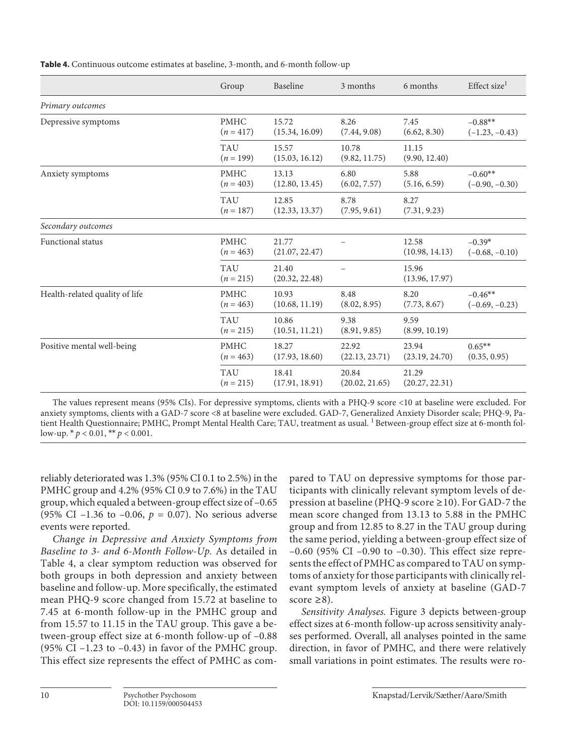|  | Table 4. Continuous outcome estimates at baseline, 3-month, and 6-month follow-up |  |  |  |  |  |  |
|--|-----------------------------------------------------------------------------------|--|--|--|--|--|--|
|--|-----------------------------------------------------------------------------------|--|--|--|--|--|--|

|                                | Group                      | Baseline                | 3 months                 | 6 months                | Effect size <sup>1</sup>      |
|--------------------------------|----------------------------|-------------------------|--------------------------|-------------------------|-------------------------------|
| Primary outcomes               |                            |                         |                          |                         |                               |
| Depressive symptoms            | <b>PMHC</b><br>$(n = 417)$ | 15.72<br>(15.34, 16.09) | 8.26<br>(7.44, 9.08)     | 7.45<br>(6.62, 8.30)    | $-0.88**$<br>$(-1.23, -0.43)$ |
|                                | <b>TAU</b><br>$(n = 199)$  | 15.57<br>(15.03, 16.12) | 10.78<br>(9.82, 11.75)   | 11.15<br>(9.90, 12.40)  |                               |
| Anxiety symptoms               | <b>PMHC</b><br>$(n = 403)$ | 13.13<br>(12.80, 13.45) | 6.80<br>(6.02, 7.57)     | 5.88<br>(5.16, 6.59)    | $-0.60**$<br>$(-0.90, -0.30)$ |
|                                | <b>TAU</b><br>$(n = 187)$  | 12.85<br>(12.33, 13.37) | 8.78<br>(7.95, 9.61)     | 8.27<br>(7.31, 9.23)    |                               |
| Secondary outcomes             |                            |                         |                          |                         |                               |
| <b>Functional status</b>       | <b>PMHC</b><br>$(n = 463)$ | 21.77<br>(21.07, 22.47) |                          | 12.58<br>(10.98, 14.13) | $-0.39*$<br>$(-0.68, -0.10)$  |
|                                | <b>TAU</b><br>$(n = 215)$  | 21.40<br>(20.32, 22.48) | $\overline{\phantom{0}}$ | 15.96<br>(13.96, 17.97) |                               |
| Health-related quality of life | <b>PMHC</b><br>$(n = 463)$ | 10.93<br>(10.68, 11.19) | 8.48<br>(8.02, 8.95)     | 8.20<br>(7.73, 8.67)    | $-0.46**$<br>$(-0.69, -0.23)$ |
|                                | <b>TAU</b><br>$(n = 215)$  | 10.86<br>(10.51, 11.21) | 9.38<br>(8.91, 9.85)     | 9.59<br>(8.99, 10.19)   |                               |
| Positive mental well-being     | <b>PMHC</b><br>$(n = 463)$ | 18.27<br>(17.93, 18.60) | 22.92<br>(22.13, 23.71)  | 23.94<br>(23.19, 24.70) | $0.65***$<br>(0.35, 0.95)     |
|                                | <b>TAU</b><br>$(n = 215)$  | 18.41<br>(17.91, 18.91) | 20.84<br>(20.02, 21.65)  | 21.29<br>(20.27, 22.31) |                               |

The values represent means (95% CIs). For depressive symptoms, clients with a PHQ-9 score <10 at baseline were excluded. For anxiety symptoms, clients with a GAD-7 score <8 at baseline were excluded. GAD-7, Generalized Anxiety Disorder scale; PHQ-9, Patient Health Questionnaire; PMHC, Prompt Mental Health Care; TAU, treatment as usual. <sup>1</sup> Between-group effect size at 6-month follow-up. \* *p* < 0.01, \*\* *p* < 0.001.

reliably deteriorated was 1.3% (95% CI 0.1 to 2.5%) in the PMHC group and 4.2% (95% CI 0.9 to 7.6%) in the TAU group, which equaled a between-group effect size of –0.65 (95% CI –1.36 to –0.06,  $p = 0.07$ ). No serious adverse events were reported.

*Change in Depressive and Anxiety Symptoms from Baseline to 3- and 6-Month Follow-Up.* As detailed in Table 4, a clear symptom reduction was observed for both groups in both depression and anxiety between baseline and follow-up. More specifically, the estimated mean PHQ-9 score changed from 15.72 at baseline to 7.45 at 6-month follow-up in the PMHC group and from 15.57 to 11.15 in the TAU group. This gave a between-group effect size at 6-month follow-up of –0.88 (95% CI –1.23 to –0.43) in favor of the PMHC group. This effect size represents the effect of PMHC as compared to TAU on depressive symptoms for those participants with clinically relevant symptom levels of depression at baseline (PHQ-9 score ≥10). For GAD-7 the mean score changed from 13.13 to 5.88 in the PMHC group and from 12.85 to 8.27 in the TAU group during the same period, yielding a between-group effect size of –0.60 (95% CI –0.90 to –0.30). This effect size represents the effect of PMHC as compared to TAU on symptoms of anxiety for those participants with clinically relevant symptom levels of anxiety at baseline (GAD-7 score  $\geq 8$ ).

*Sensitivity Analyses.* Figure 3 depicts between-group effect sizes at 6-month follow-up across sensitivity analyses performed. Overall, all analyses pointed in the same direction, in favor of PMHC, and there were relatively small variations in point estimates. The results were ro-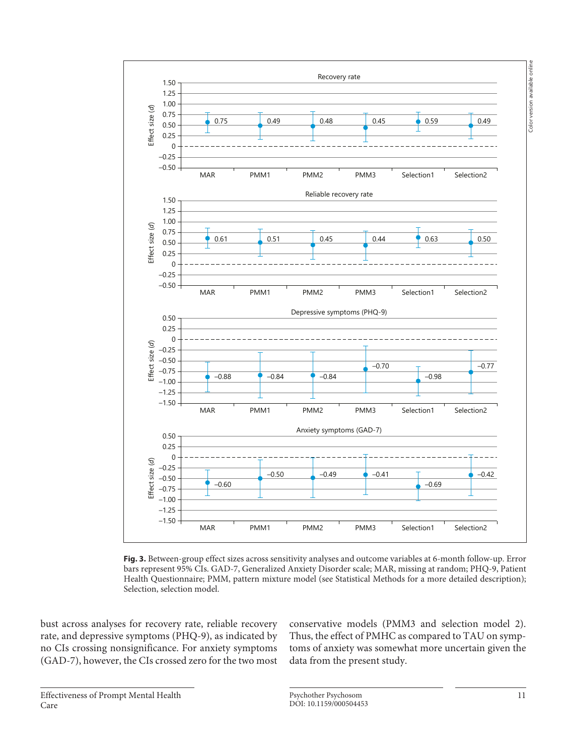

**Fig. 3.** Between-group effect sizes across sensitivity analyses and outcome variables at 6-month follow-up. Error bars represent 95% CIs. GAD-7, Generalized Anxiety Disorder scale; MAR, missing at random; PHQ-9, Patient Health Questionnaire; PMM, pattern mixture model (see Statistical Methods for a more detailed description); Selection, selection model.

bust across analyses for recovery rate, reliable recovery rate, and depressive symptoms (PHQ-9), as indicated by no CIs crossing nonsignificance. For anxiety symptoms (GAD-7), however, the CIs crossed zero for the two most

conservative models (PMM3 and selection model 2). Thus, the effect of PMHC as compared to TAU on symptoms of anxiety was somewhat more uncertain given the data from the present study.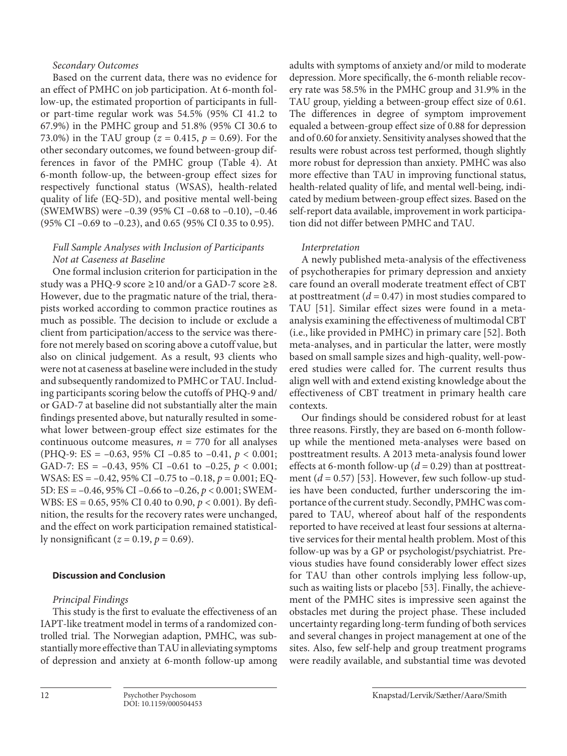## *Secondary Outcomes*

Based on the current data, there was no evidence for an effect of PMHC on job participation. At 6-month follow-up, the estimated proportion of participants in fullor part-time regular work was 54.5% (95% CI 41.2 to 67.9%) in the PMHC group and 51.8% (95% CI 30.6 to 73.0%) in the TAU group ( $z = 0.415$ ,  $p = 0.69$ ). For the other secondary outcomes, we found between-group differences in favor of the PMHC group (Table 4). At 6-month follow-up, the between-group effect sizes for respectively functional status (WSAS), health-related quality of life (EQ-5D), and positive mental well-being (SWEMWBS) were –0.39 (95% CI –0.68 to –0.10), –0.46 (95% CI –0.69 to –0.23), and 0.65 (95% CI 0.35 to 0.95).

# *Full Sample Analyses with Inclusion of Participants Not at Caseness at Baseline*

One formal inclusion criterion for participation in the study was a PHQ-9 score ≥10 and/or a GAD-7 score ≥8. However, due to the pragmatic nature of the trial, therapists worked according to common practice routines as much as possible. The decision to include or exclude a client from participation/access to the service was therefore not merely based on scoring above a cutoff value, but also on clinical judgement. As a result, 93 clients who were not at caseness at baseline were included in the study and subsequently randomized to PMHC or TAU. Including participants scoring below the cutoffs of PHQ-9 and/ or GAD-7 at baseline did not substantially alter the main findings presented above, but naturally resulted in somewhat lower between-group effect size estimates for the continuous outcome measures,  $n = 770$  for all analyses (PHQ-9: ES = –0.63, 95% CI –0.85 to –0.41, *p* < 0.001; GAD-7: ES = –0.43, 95% CI –0.61 to –0.25, *p* < 0.001; WSAS: ES = –0.42, 95% CI –0.75 to –0.18, *p* = 0.001; EQ-5D: ES = –0.46, 95% CI –0.66 to –0.26, *p* < 0.001; SWEM-WBS: ES = 0.65, 95% CI 0.40 to 0.90, *p* < 0.001). By definition, the results for the recovery rates were unchanged, and the effect on work participation remained statistically nonsignificant ( $z = 0.19$ ,  $p = 0.69$ ).

# **Discussion and Conclusion**

# *Principal Findings*

This study is the first to evaluate the effectiveness of an IAPT-like treatment model in terms of a randomized controlled trial. The Norwegian adaption, PMHC, was substantially more effective than TAU in alleviating symptoms of depression and anxiety at 6-month follow-up among adults with symptoms of anxiety and/or mild to moderate depression. More specifically, the 6-month reliable recovery rate was 58.5% in the PMHC group and 31.9% in the TAU group, yielding a between-group effect size of 0.61. The differences in degree of symptom improvement equaled a between-group effect size of 0.88 for depression and of 0.60 for anxiety. Sensitivity analyses showed that the results were robust across test performed, though slightly more robust for depression than anxiety. PMHC was also more effective than TAU in improving functional status, health-related quality of life, and mental well-being, indicated by medium between-group effect sizes. Based on the self-report data available, improvement in work participation did not differ between PMHC and TAU.

## *Interpretation*

A newly published meta-analysis of the effectiveness of psychotherapies for primary depression and anxiety care found an overall moderate treatment effect of CBT at posttreatment  $(d = 0.47)$  in most studies compared to TAU [[5](#page-14-4)[1\]](#page-14-0). Similar effect sizes were found in a metaanalysis examining the effectiveness of multimodal CBT (i.e., like provided in PMHC) in primary care [[5](#page-14-4)[2](#page-14-1)]. Both meta-analyses, and in particular the latter, were mostly based on small sample sizes and high-quality, well-powered studies were called for. The current results thus align well with and extend existing knowledge about the effectiveness of CBT treatment in primary health care contexts.

Our findings should be considered robust for at least three reasons. Firstly, they are based on 6-month followup while the mentioned meta-analyses were based on posttreatment results. A 2013 meta-analysis found lower effects at 6-month follow-up ( $d = 0.29$ ) than at posttreatment  $(d = 0.57)$  $(d = 0.57)$  $(d = 0.57)$  [5[3](#page-14-2)]. However, few such follow-up studies have been conducted, further underscoring the importance of the current study. Secondly, PMHC was compared to TAU, whereof about half of the respondents reported to have received at least four sessions at alternative services for their mental health problem. Most of this follow-up was by a GP or psychologist/psychiatrist. Previous studies have found considerably lower effect sizes for TAU than other controls implying less follow-up, such as waiting lists or placebo [\[5](#page-14-4)[3\]](#page-14-2). Finally, the achievement of the PMHC sites is impressive seen against the obstacles met during the project phase. These included uncertainty regarding long-term funding of both services and several changes in project management at one of the sites. Also, few self-help and group treatment programs were readily available, and substantial time was devoted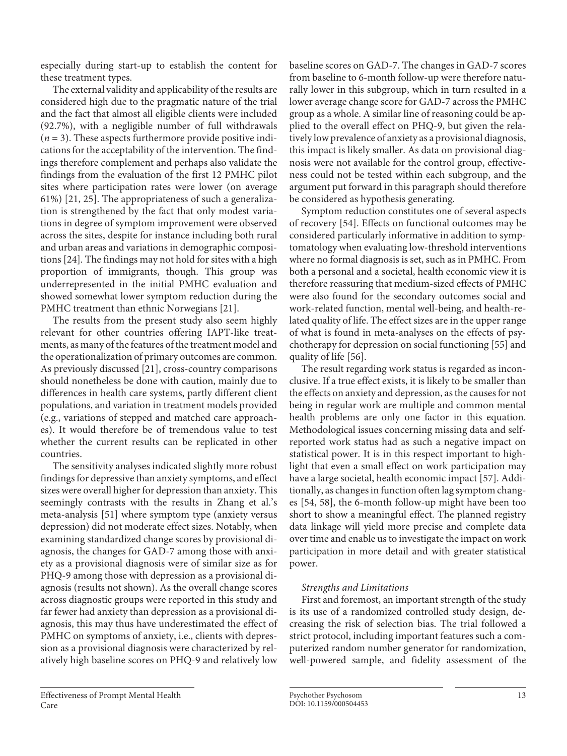especially during start-up to establish the content for these treatment types.

The external validity and applicability of the results are considered high due to the pragmatic nature of the trial and the fact that almost all eligible clients were included (92.7%), with a negligible number of full withdrawals  $(n = 3)$ . These aspects furthermore provide positive indications for the acceptability of the intervention. The findings therefore complement and perhaps also validate the findings from the evaluation of the first 12 PMHC pilot sites where participation rates were lower (on average 61%) [[2](#page-14-1)[1](#page-14-0), [2](#page-14-1)[5](#page-14-4)]. The appropriateness of such a generalization is strengthened by the fact that only modest variations in degree of symptom improvement were observed across the sites, despite for instance including both rural and urban areas and variations in demographic compositions [\[2](#page-14-1)[4\]](#page-14-3). The findings may not hold for sites with a high proportion of immigrants, though. This group was underrepresented in the initial PMHC evaluation and showed somewhat lower symptom reduction during the PMHC treatment than ethnic Norwegians [[2](#page-14-1)[1](#page-14-0)].

The results from the present study also seem highly relevant for other countries offering IAPT-like treatments, as many of the features of the treatment model and the operationalization of primary outcomes are common. As previously discussed [\[2](#page-14-1)[1\]](#page-14-0), cross-country comparisons should nonetheless be done with caution, mainly due to differences in health care systems, partly different client populations, and variation in treatment models provided (e.g., variations of stepped and matched care approaches). It would therefore be of tremendous value to test whether the current results can be replicated in other countries.

The sensitivity analyses indicated slightly more robust findings for depressive than anxiety symptoms, and effect sizes were overall higher for depression than anxiety. This seemingly contrasts with the results in Zhang et al.'s meta-analysis [[5](#page-14-4)[1](#page-14-0)] where symptom type (anxiety versus depression) did not moderate effect sizes. Notably, when examining standardized change scores by provisional diagnosis, the changes for GAD-7 among those with anxiety as a provisional diagnosis were of similar size as for PHQ-9 among those with depression as a provisional diagnosis (results not shown). As the overall change scores across diagnostic groups were reported in this study and far fewer had anxiety than depression as a provisional diagnosis, this may thus have underestimated the effect of PMHC on symptoms of anxiety, i.e., clients with depression as a provisional diagnosis were characterized by relatively high baseline scores on PHQ-9 and relatively low

Effectiveness of Prompt Mental Health

Care

baseline scores on GAD-7. The changes in GAD-7 scores from baseline to 6-month follow-up were therefore naturally lower in this subgroup, which in turn resulted in a lower average change score for GAD-7 across the PMHC group as a whole. A similar line of reasoning could be applied to the overall effect on PHQ-9, but given the relatively low prevalence of anxiety as a provisional diagnosis, this impact is likely smaller. As data on provisional diagnosis were not available for the control group, effectiveness could not be tested within each subgroup, and the argument put forward in this paragraph should therefore be considered as hypothesis generating.

Symptom reduction constitutes one of several aspects of recovery [\[5](#page-14-4)[4\]](#page-14-3). Effects on functional outcomes may be considered particularly informative in addition to symptomatology when evaluating low-threshold interventions where no formal diagnosis is set, such as in PMHC. From both a personal and a societal, health economic view it is therefore reassuring that medium-sized effects of PMHC were also found for the secondary outcomes social and work-related function, mental well-being, and health-related quality of life. The effect sizes are in the upper range of what is found in meta-analyses on the effects of psychotherapy for depression on social functioning [[55](#page-14-4)] and quality of life [\[5](#page-14-4)[6\]](#page-14-5).

The result regarding work status is regarded as inconclusive. If a true effect exists, it is likely to be smaller than the effects on anxiety and depression, as the causes for not being in regular work are multiple and common mental health problems are only one factor in this equation. Methodological issues concerning missing data and selfreported work status had as such a negative impact on statistical power. It is in this respect important to highlight that even a small effect on work participation may have a large societal, health economic impact [\[5](#page-14-4)[7](#page-14-6)]. Additionally, as changes in function often lag symptom changes [[5](#page-14-4)[4](#page-14-3), [5](#page-14-4)[8](#page-14-7)], the 6-month follow-up might have been too short to show a meaningful effect. The planned registry data linkage will yield more precise and complete data over time and enable us to investigate the impact on work participation in more detail and with greater statistical power.

# *Strengths and Limitations*

First and foremost, an important strength of the study is its use of a randomized controlled study design, decreasing the risk of selection bias. The trial followed a strict protocol, including important features such a computerized random number generator for randomization, well-powered sample, and fidelity assessment of the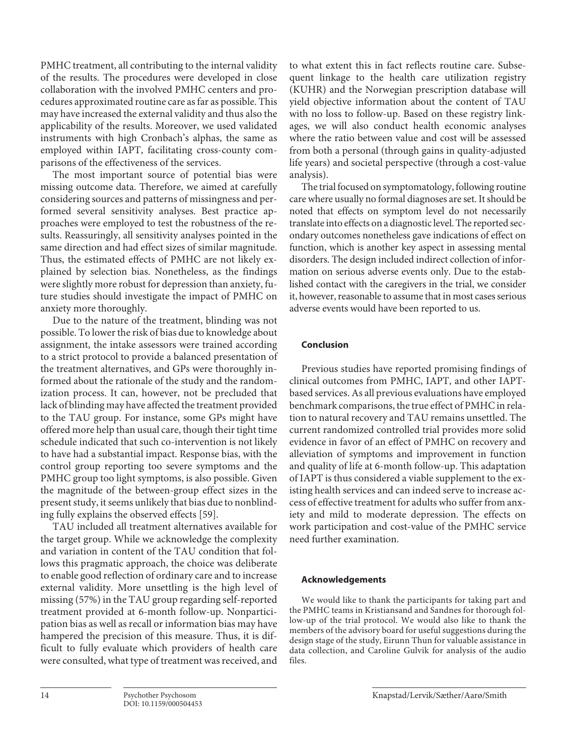PMHC treatment, all contributing to the internal validity of the results. The procedures were developed in close collaboration with the involved PMHC centers and procedures approximated routine care as far as possible. This may have increased the external validity and thus also the applicability of the results. Moreover, we used validated instruments with high Cronbach's alphas, the same as employed within IAPT, facilitating cross-county comparisons of the effectiveness of the services.

The most important source of potential bias were missing outcome data. Therefore, we aimed at carefully considering sources and patterns of missingness and performed several sensitivity analyses. Best practice approaches were employed to test the robustness of the results. Reassuringly, all sensitivity analyses pointed in the same direction and had effect sizes of similar magnitude. Thus, the estimated effects of PMHC are not likely explained by selection bias. Nonetheless, as the findings were slightly more robust for depression than anxiety, future studies should investigate the impact of PMHC on anxiety more thoroughly.

Due to the nature of the treatment, blinding was not possible. To lower the risk of bias due to knowledge about assignment, the intake assessors were trained according to a strict protocol to provide a balanced presentation of the treatment alternatives, and GPs were thoroughly informed about the rationale of the study and the randomization process. It can, however, not be precluded that lack of blinding may have affected the treatment provided to the TAU group. For instance, some GPs might have offered more help than usual care, though their tight time schedule indicated that such co-intervention is not likely to have had a substantial impact. Response bias, with the control group reporting too severe symptoms and the PMHC group too light symptoms, is also possible. Given the magnitude of the between-group effect sizes in the present study, it seems unlikely that bias due to nonblinding fully explains the observed effects [[5](#page-14-4)[9](#page-14-8)].

TAU included all treatment alternatives available for the target group. While we acknowledge the complexity and variation in content of the TAU condition that follows this pragmatic approach, the choice was deliberate to enable good reflection of ordinary care and to increase external validity. More unsettling is the high level of missing (57%) in the TAU group regarding self-reported treatment provided at 6-month follow-up. Nonparticipation bias as well as recall or information bias may have hampered the precision of this measure. Thus, it is difficult to fully evaluate which providers of health care were consulted, what type of treatment was received, and

to what extent this in fact reflects routine care. Subsequent linkage to the health care utilization registry (KUHR) and the Norwegian prescription database will yield objective information about the content of TAU with no loss to follow-up. Based on these registry linkages, we will also conduct health economic analyses where the ratio between value and cost will be assessed from both a personal (through gains in quality-adjusted life years) and societal perspective (through a cost-value analysis).

The trial focused on symptomatology, following routine care where usually no formal diagnoses are set. It should be noted that effects on symptom level do not necessarily translate into effects on a diagnostic level. The reported secondary outcomes nonetheless gave indications of effect on function, which is another key aspect in assessing mental disorders. The design included indirect collection of information on serious adverse events only. Due to the established contact with the caregivers in the trial, we consider it, however, reasonable to assume that in most cases serious adverse events would have been reported to us.

# **Conclusion**

Previous studies have reported promising findings of clinical outcomes from PMHC, IAPT, and other IAPTbased services. As all previous evaluations have employed benchmark comparisons, the true effect of PMHC in relation to natural recovery and TAU remains unsettled. The current randomized controlled trial provides more solid evidence in favor of an effect of PMHC on recovery and alleviation of symptoms and improvement in function and quality of life at 6-month follow-up. This adaptation of IAPT is thus considered a viable supplement to the existing health services and can indeed serve to increase access of effective treatment for adults who suffer from anxiety and mild to moderate depression. The effects on work participation and cost-value of the PMHC service need further examination.

#### **Acknowledgements**

We would like to thank the participants for taking part and the PMHC teams in Kristiansand and Sandnes for thorough follow-up of the trial protocol. We would also like to thank the members of the advisory board for useful suggestions during the design stage of the study, Eirunn Thun for valuable assistance in data collection, and Caroline Gulvik for analysis of the audio files.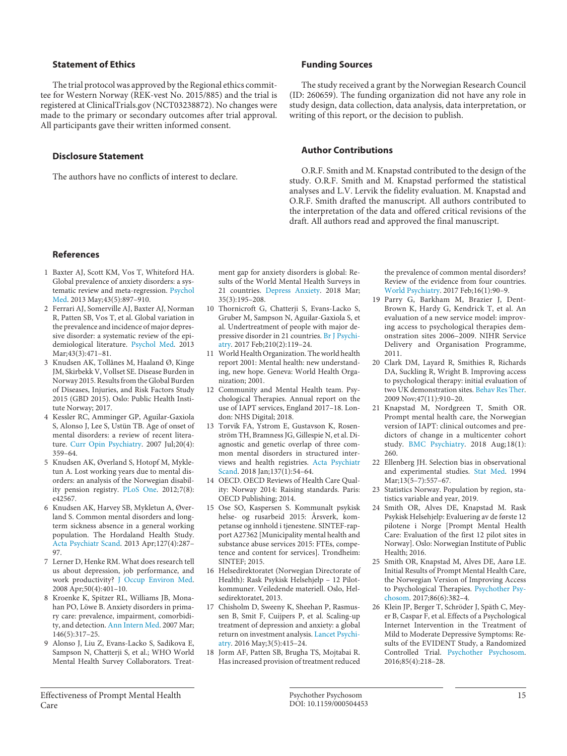## **Statement of Ethics**

The trial protocol was approved by the Regional ethics committee for Western Norway (REK-vest No. 2015/885) and the trial is registered at ClinicalTrials.gov (NCT03238872). No changes were made to the primary or secondary outcomes after trial approval. All participants gave their written informed consent.

## **Disclosure Statement**

The authors have no conflicts of interest to declare.

## **Funding Sources**

The study received a grant by the Norwegian Research Council (ID: 260659). The funding organization did not have any role in study design, data collection, data analysis, data interpretation, or writing of this report, or the decision to publish.

## **Author Contributions**

O.R.F. Smith and M. Knapstad contributed to the design of the study. O.R.F. Smith and M. Knapstad performed the statistical analyses and L.V. Lervik the fidelity evaluation. M. Knapstad and O.R.F. Smith drafted the manuscript. All authors contributed to the interpretation of the data and offered critical revisions of the draft. All authors read and approved the final manuscript.

## **References**

- <span id="page-14-0"></span>[1](#page-1-0) Baxter AJ, Scott KM, Vos T, Whiteford HA. Global prevalence of anxiety disorders: a systematic review and meta-regression. [Psychol](https://www.karger.com/Article/FullText/504453?ref=1#ref1) [Med](https://www.karger.com/Article/FullText/504453?ref=1#ref1). 2013 May;43(5):897–910.
- <span id="page-14-1"></span>[2](#page-1-1) Ferrari AJ, Somerville AJ, Baxter AJ, Norman R, Patten SB, Vos T, et al. Global variation in the prevalence and incidence of major depressive disorder: a systematic review of the epidemiological literature. [Psychol Med.](https://www.karger.com/Article/FullText/504453?ref=2#ref2) 2013 Mar; 43(3): 471-81.
- <span id="page-14-2"></span>[3](#page-1-2) Knudsen AK, Tollånes M, Haaland Ø, Kinge JM, Skirbekk V, Vollset SE. Disease Burden in Norway 2015. Results from the Global Burden of Diseases, Injuries, and Risk Factors Study 2015 (GBD 2015). Oslo: Public Health Institute Norway; 2017.
- <span id="page-14-3"></span>[4](#page-1-3) Kessler RC, Amminger GP, Aguilar-Gaxiola S, Alonso J, Lee S, Ustün TB. Age of onset of mental disorders: a review of recent literature. [Curr Opin Psychiatry.](https://www.karger.com/Article/FullText/504453?ref=4#ref4) 2007 Jul;20(4): 359–64.
- <span id="page-14-4"></span>[5](#page-1-4) Knudsen AK, Øverland S, Hotopf M, Mykletun A. Lost working years due to mental disorders: an analysis of the Norwegian disability pension registry. [PLoS One](https://www.karger.com/Article/FullText/504453?ref=5#ref5). 2012;7(8): e42567.
- <span id="page-14-5"></span>[6](#page-1-4) Knudsen AK, Harvey SB, Mykletun A, Øverland S. Common mental disorders and longterm sickness absence in a general working population. The Hordaland Health Study. [Acta Psychiatr Scand](https://www.karger.com/Article/FullText/504453?ref=6#ref6). 2013 Apr;127(4):287– 97.
- <span id="page-14-6"></span>[7](#page-1-5) Lerner D, Henke RM. What does research tell us about depression, job performance, and work productivity? [J Occup Environ Med](https://www.karger.com/Article/FullText/504453?ref=7#ref7). 2008 Apr;50(4):401–10.
- <span id="page-14-7"></span>[8](#page-1-5) Kroenke K, Spitzer RL, Williams JB, Monahan PO, Löwe B. Anxiety disorders in primary care: prevalence, impairment, comorbidity, and detection. [Ann Intern Med](https://www.karger.com/Article/FullText/504453?ref=8#ref8). 2007 Mar; 146(5):317–25.
- <span id="page-14-8"></span>[9](#page-1-6) Alonso J, Liu Z, Evans-Lacko S, Sadikova E, Sampson N, Chatterji S, et al.; WHO World Mental Health Survey Collaborators. Treat-

ment gap for anxiety disorders is global: Results of the World Mental Health Surveys in 21 countries. [Depress Anxiety](https://www.karger.com/Article/FullText/504453?ref=9#ref9). 2018 Mar; 35(3):195–208.

- [10](#page-1-6) Thornicroft G, Chatterji S, Evans-Lacko S, Gruber M, Sampson N, Aguilar-Gaxiola S, et al. Undertreatment of people with major depressive disorder in 21 countries. [Br J Psychi](https://www.karger.com/Article/FullText/504453?ref=10#ref10)[atry.](https://www.karger.com/Article/FullText/504453?ref=10#ref10) 2017 Feb;210(2):119–24.
- [11](#page-1-7) World Health Organization. The world health report 2001: Mental health: new understanding, new hope. Geneva: World Health Organization; 2001.
- [12](#page-1-8) Community and Mental Health team. Psychological Therapies. Annual report on the use of IAPT services, England 2017–18. London: NHS Digital; 2018.
- [13](#page-1-9) Torvik FA, Ystrom E, Gustavson K, Rosenström TH, Bramness JG, Gillespie N, et al. Diagnostic and genetic overlap of three common mental disorders in structured interviews and health registries. [Acta Psychiatr](https://www.karger.com/Article/FullText/504453?ref=13#ref13) [Scand](https://www.karger.com/Article/FullText/504453?ref=13#ref13). 2018 Jan;137(1):54–64.
- [14](#page-1-10) OECD. OECD Reviews of Health Care Quality: Norway 2014: Raising standards. Paris: OECD Publishing; 2014.
- [15](#page-1-11) Ose SO, Kaspersen S. Kommunalt psykisk helse- og rusarbeid 2015: Årsverk, kompetanse og innhold i tjenestene. SINTEF-rapport A27362 [Municipality mental health and substance abuse services 2015: FTEs, competence and content for services]. Trondheim: SINTEF; 2015.
- [16](#page-1-12) Helsedirektoratet (Norwegian Directorate of Health): Rask Psykisk Helsehjelp – 12 Pilotkommuner. Veiledende materiell. Oslo, Helsedirektoratet, 2013.
- [17](#page-1-13) Chisholm D, Sweeny K, Sheehan P, Rasmussen B, Smit F, Cuijpers P, et al. Scaling-up treatment of depression and anxiety: a global return on investment analysis. [Lancet Psychi](https://www.karger.com/Article/FullText/504453?ref=17#ref17)[atry.](https://www.karger.com/Article/FullText/504453?ref=17#ref17) 2016 May;3(5):415–24.
- [18](#page-1-14) Jorm AF, Patten SB, Brugha TS, Mojtabai R. Has increased provision of treatment reduced

the prevalence of common mental disorders? Review of the evidence from four countries. [World Psychiatry](https://www.karger.com/Article/FullText/504453?ref=18#ref18). 2017 Feb;16(1):90–9.

- [19](#page-1-15) Parry G, Barkham M, Brazier J, Dent-Brown K, Hardy G, Kendrick T, et al. An evaluation of a new service model: improving access to psychological therapies demonstration sites 2006–2009. NIHR Service Delivery and Organisation Programme, 2011.
- [20](#page-1-15) Clark DM, Layard R, Smithies R, Richards DA, Suckling R, Wright B. Improving access to psychological therapy: initial evaluation of two UK demonstration sites. [Behav Res Ther.](https://www.karger.com/Article/FullText/504453?ref=20#ref20) 2009 Nov;47(11):910–20.
- [21](#page-1-16) Knapstad M, Nordgreen T, Smith OR. Prompt mental health care, the Norwegian version of IAPT: clinical outcomes and predictors of change in a multicenter cohort study. [BMC Psychiatry.](https://www.karger.com/Article/FullText/504453?ref=21#ref21) 2018 Aug;18(1): 260.
- [22](#page-1-17) Ellenberg JH. Selection bias in observational and experimental studies. [Stat Med.](https://www.karger.com/Article/FullText/504453?ref=22#ref22) 1994 Mar;13(5–7):557–67.
- [23](#page-2-0) Statistics Norway. Population by region, statistics variable and year, 2019.
- [24](#page-3-0) Smith OR, Alves DE, Knapstad M. Rask Psykisk Helsehjelp: Evaluering av de første 12 pilotene i Norge [Prompt Mental Health Care: Evaluation of the first 12 pilot sites in Norway]. Oslo: Norwegian Institute of Public Health; 2016.
- [25](#page-3-0) Smith OR, Knapstad M, Alves DE, Aarø LE. Initial Results of Prompt Mental Health Care, the Norwegian Version of Improving Access to Psychological Therapies. [Psychother Psy](https://www.karger.com/Article/FullText/504453?ref=25#ref25)[chosom](https://www.karger.com/Article/FullText/504453?ref=25#ref25). 2017;86(6):382–4.
- [26](#page-3-1) Klein JP, Berger T, Schröder J, Späth C, Meyer B, Caspar F, et al. Effects of a Psychological Internet Intervention in the Treatment of Mild to Moderate Depressive Symptoms: Results of the EVIDENT Study, a Randomized Controlled Trial. [Psychother Psychosom.](https://www.karger.com/Article/FullText/504453?ref=26#ref26) 2016;85(4):218–28.